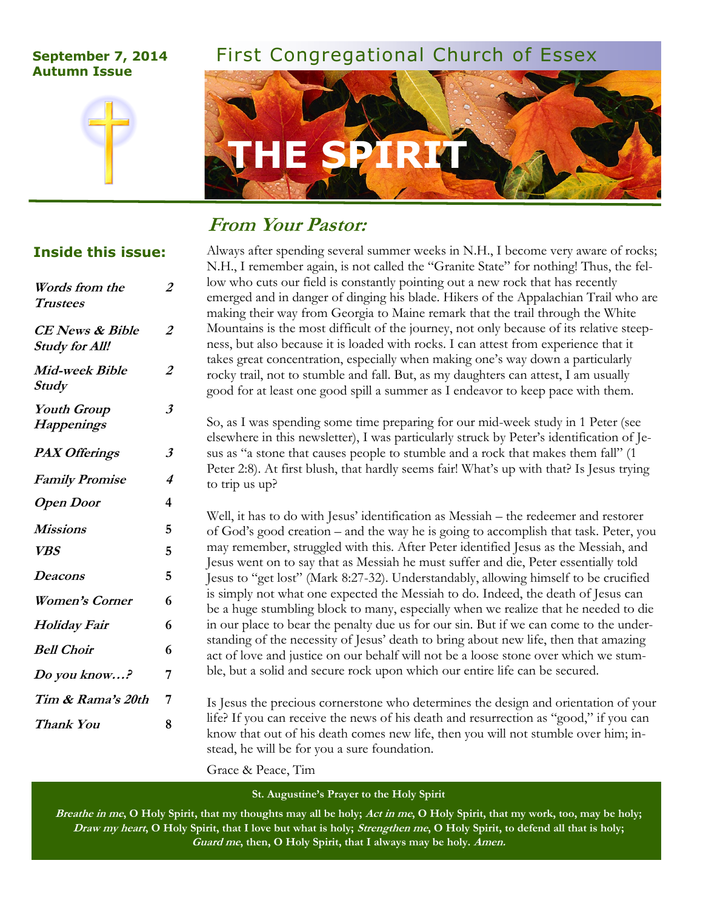# **Autumn Issue**



# **September 7, 2014** First Congregational Church of Essex



# **From Your Pastor:**

### **Inside this issue:**

| Words from the<br><b>Trustees</b>               | 2              |
|-------------------------------------------------|----------------|
| <b>CE</b> News & Bible<br><b>Study for All!</b> | $\overline{2}$ |
| Mid-week Bible<br><b>Study</b>                  | $\overline{2}$ |
| <b>Youth Group</b><br><b>Happenings</b>         | 3              |
| <b>PAX Offerings</b>                            | 3              |
| <b>Family Promise</b>                           | 4              |
| <b>Open Door</b>                                | 4              |
| Missions                                        | 5              |
| <b>VBS</b>                                      | 5              |
| Deacons                                         | 5              |
| <b>Women's Corner</b>                           | 6              |
| <i>Holiday Fair</i>                             | 6              |
| <b>Bell Choir</b>                               | 6              |
| Do you know?                                    | 7              |
| Tim & Rama's 20th                               | 7              |
| <b>Thank You</b>                                | 8              |

Always after spending several summer weeks in N.H., I become very aware of rocks; N.H., I remember again, is not called the "Granite State" for nothing! Thus, the fellow who cuts our field is constantly pointing out a new rock that has recently emerged and in danger of dinging his blade. Hikers of the Appalachian Trail who are making their way from Georgia to Maine remark that the trail through the White Mountains is the most difficult of the journey, not only because of its relative steepness, but also because it is loaded with rocks. I can attest from experience that it takes great concentration, especially when making one's way down a particularly rocky trail, not to stumble and fall. But, as my daughters can attest, I am usually good for at least one good spill a summer as I endeavor to keep pace with them.

So, as I was spending some time preparing for our mid-week study in 1 Peter (see elsewhere in this newsletter), I was particularly struck by Peter's identification of Jesus as "a stone that causes people to stumble and a rock that makes them fall" (1 Peter 2:8). At first blush, that hardly seems fair! What's up with that? Is Jesus trying to trip us up?

Well, it has to do with Jesus' identification as Messiah – the redeemer and restorer of God's good creation – and the way he is going to accomplish that task. Peter, you may remember, struggled with this. After Peter identified Jesus as the Messiah, and Jesus went on to say that as Messiah he must suffer and die, Peter essentially told Jesus to "get lost" (Mark 8:27-32). Understandably, allowing himself to be crucified is simply not what one expected the Messiah to do. Indeed, the death of Jesus can be a huge stumbling block to many, especially when we realize that he needed to die in our place to bear the penalty due us for our sin. But if we can come to the understanding of the necessity of Jesus' death to bring about new life, then that amazing act of love and justice on our behalf will not be a loose stone over which we stumble, but a solid and secure rock upon which our entire life can be secured.

Is Jesus the precious cornerstone who determines the design and orientation of your life? If you can receive the news of his death and resurrection as "good," if you can know that out of his death comes new life, then you will not stumble over him; instead, he will be for you a sure foundation.

Grace & Peace, Tim

**St. Augustine's Prayer to the Holy Spirit**

**Breathe in me, O Holy Spirit, that my thoughts may all be holy; Act in me, O Holy Spirit, that my work, too, may be holy; Draw my heart, O Holy Spirit, that I love but what is holy; Strengthen me, O Holy Spirit, to defend all that is holy; Guard me, then, O Holy Spirit, that I always may be holy. Amen.**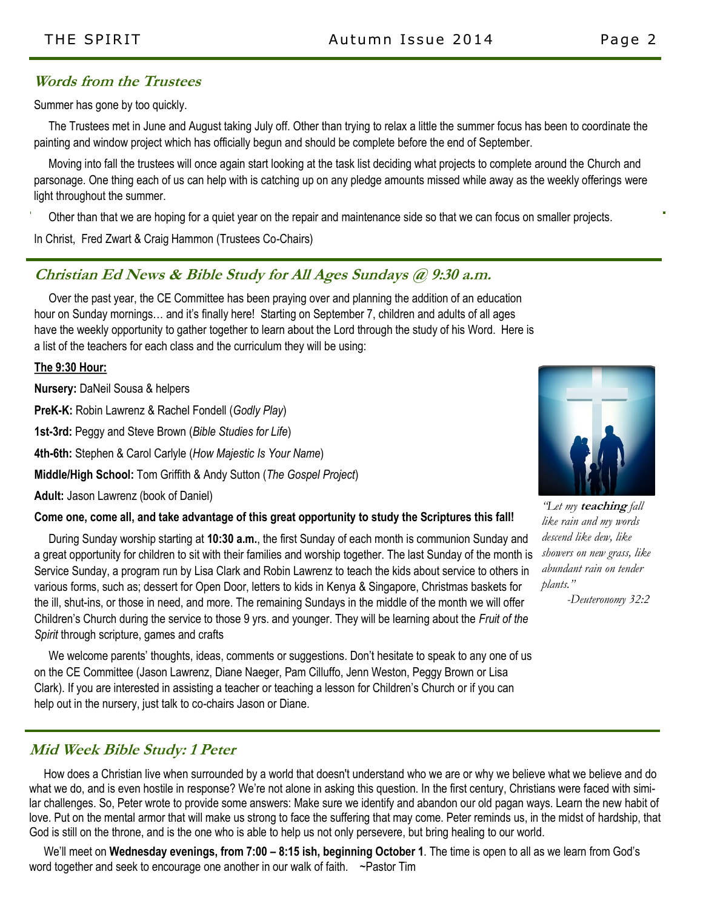### **Words from the Trustees**

Summer has gone by too quickly.

 The Trustees met in June and August taking July off. Other than trying to relax a little the summer focus has been to coordinate the painting and window project which has officially begun and should be complete before the end of September.

 Moving into fall the trustees will once again start looking at the task list deciding what projects to complete around the Church and parsonage. One thing each of us can help with is catching up on any pledge amounts missed while away as the weekly offerings were light throughout the summer.

Other than that we are hoping for a quiet year on the repair and maintenance side so that we can focus on smaller projects.

In Christ, Fred Zwart & Craig Hammon (Trustees Co-Chairs)

### **Christian Ed News & Bible Study for All Ages Sundays @ 9:30 a.m.**

 Over the past year, the CE Committee has been praying over and planning the addition of an education hour on Sunday mornings… and it's finally here! Starting on September 7, children and adults of all ages have the weekly opportunity to gather together to learn about the Lord through the study of his Word. Here is a list of the teachers for each class and the curriculum they will be using:

**The 9:30 Hour:**

**Nursery:** DaNeil Sousa & helpers

**PreK-K:** Robin Lawrenz & Rachel Fondell (*Godly Play*)

**1st-3rd:** Peggy and Steve Brown (*Bible Studies for Life*)

**4th-6th:** Stephen & Carol Carlyle (*How Majestic Is Your Name*)

**Middle/High School:** Tom Griffith & Andy Sutton (*The Gospel Project*)

**Adult:** Jason Lawrenz (book of Daniel)

#### **Come one, come all, and take advantage of this great opportunity to study the Scriptures this fall!**

 During Sunday worship starting at **10:30 a.m.**, the first Sunday of each month is communion Sunday and a great opportunity for children to sit with their families and worship together. The last Sunday of the month is Service Sunday, a program run by Lisa Clark and Robin Lawrenz to teach the kids about service to others in various forms, such as; dessert for Open Door, letters to kids in Kenya & Singapore, Christmas baskets for the ill, shut-ins, or those in need, and more. The remaining Sundays in the middle of the month we will offer Children's Church during the service to those 9 yrs. and younger. They will be learning about the *Fruit of the Spirit* through scripture, games and crafts

 We welcome parents' thoughts, ideas, comments or suggestions. Don't hesitate to speak to any one of us on the CE Committee (Jason Lawrenz, Diane Naeger, Pam Cilluffo, Jenn Weston, Peggy Brown or Lisa Clark). If you are interested in assisting a teacher or teaching a lesson for Children's Church or if you can help out in the nursery, just talk to co-chairs Jason or Diane.

### **Mid Week Bible Study: 1 Peter**

 How does a Christian live when surrounded by a world that doesn't understand who we are or why we believe what we believe and do what we do, and is even hostile in response? We're not alone in asking this question. In the first century, Christians were faced with similar challenges. So, Peter wrote to provide some answers: Make sure we identify and abandon our old pagan ways. Learn the new habit of love. Put on the mental armor that will make us strong to face the suffering that may come. Peter reminds us, in the midst of hardship, that God is still on the throne, and is the one who is able to help us not only persevere, but bring healing to our world.

 We'll meet on **Wednesday evenings, from 7:00 – 8:15 ish, beginning October 1**. The time is open to all as we learn from God's word together and seek to encourage one another in our walk of faith. ~Pastor Tim



*"Let my* **teaching** *fall like rain and my words descend like dew, like showers on new grass, like abundant rain on tender plants."* 

 *-Deuteronomy 32:2*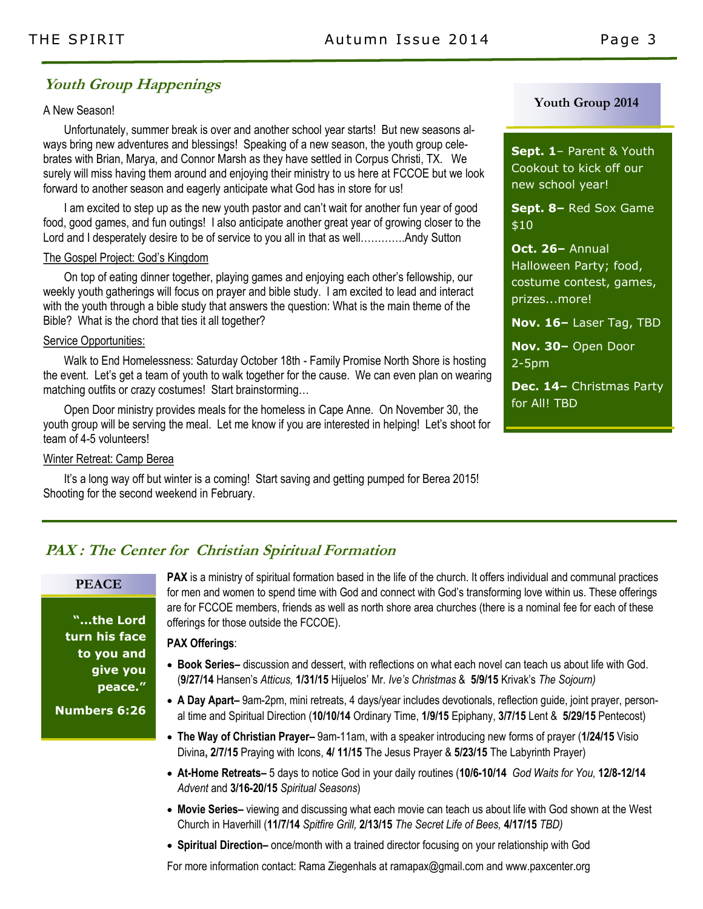### **Youth Group Happenings**

### A New Season!

Unfortunately, summer break is over and another school year starts! But new seasons always bring new adventures and blessings! Speaking of a new season, the youth group celebrates with Brian, Marya, and Connor Marsh as they have settled in Corpus Christi, TX. We surely will miss having them around and enjoying their ministry to us here at FCCOE but we look forward to another season and eagerly anticipate what God has in store for us!

I am excited to step up as the new youth pastor and can't wait for another fun year of good food, good games, and fun outings! I also anticipate another great year of growing closer to the Lord and I desperately desire to be of service to you all in that as well...............Andy Sutton

#### The Gospel Project: God's Kingdom

On top of eating dinner together, playing games and enjoying each other's fellowship, our weekly youth gatherings will focus on prayer and bible study. I am excited to lead and interact with the youth through a bible study that answers the question: What is the main theme of the Bible? What is the chord that ties it all together?

#### Service Opportunities:

Walk to End Homelessness: Saturday October 18th - Family Promise North Shore is hosting the event. Let's get a team of youth to walk together for the cause. We can even plan on wearing matching outfits or crazy costumes! Start brainstorming…

Open Door ministry provides meals for the homeless in Cape Anne. On November 30, the youth group will be serving the meal. Let me know if you are interested in helping! Let's shoot for team of 4-5 volunteers!

#### Winter Retreat: Camp Berea

It's a long way off but winter is a coming! Start saving and getting pumped for Berea 2015! Shooting for the second weekend in February.

### **Youth Group 2014**

**Sept. 1**– Parent & Youth Cookout to kick off our new school year!

**Sept. 8–** Red Sox Game \$10

**Oct. 26–** Annual Halloween Party; food, costume contest, games, prizes...more!

**Nov. 16–** Laser Tag, TBD

**Nov. 30–** Open Door 2-5pm

**Dec. 14–** Christmas Party for All! TBD

### **PAX : The Center for Christian Spiritual Formation**

### **PEACE**

**"...the Lord turn his face to you and give you peace."**

**Numbers 6:26**

**PAX** is a ministry of spiritual formation based in the life of the church. It offers individual and communal practices for men and women to spend time with God and connect with God's transforming love within us. These offerings are for FCCOE members, friends as well as north shore area churches (there is a nominal fee for each of these offerings for those outside the FCCOE).

#### **PAX Offerings**:

- **Book Series–** discussion and dessert, with reflections on what each novel can teach us about life with God. (**9/27/14** Hansen's *Atticus,* **1/31/15** Hijuelos' Mr. *Ive's Christmas* & **5/9/15** Krivak's *The Sojourn)*
- **A Day Apart–** 9am-2pm, mini retreats, 4 days/year includes devotionals, reflection guide, joint prayer, personal time and Spiritual Direction (**10/10/14** Ordinary Time, **1/9/15** Epiphany, **3/7/15** Lent & **5/29/15** Pentecost)
- **The Way of Christian Prayer–** 9am-11am, with a speaker introducing new forms of prayer (**1/24/15** Visio Divina**, 2/7/15** Praying with Icons, **4/ 11/15** The Jesus Prayer & **5/23/15** The Labyrinth Prayer)
- **At-Home Retreats–** 5 days to notice God in your daily routines (**10/6-10/14** *God Waits for You,* **12/8-12/14**  *Advent* and **3/16-20/15** *Spiritual Seasons*)
- **Movie Series–** viewing and discussing what each movie can teach us about life with God shown at the West Church in Haverhill (**11/7/14** *Spitfire Grill,* **2/13/15** *The Secret Life of Bees,* **4/17/15** *TBD)*
- **Spiritual Direction–** once/month with a trained director focusing on your relationship with God

For more information contact: Rama Ziegenhals at ramapax@gmail.com and www.paxcenter.org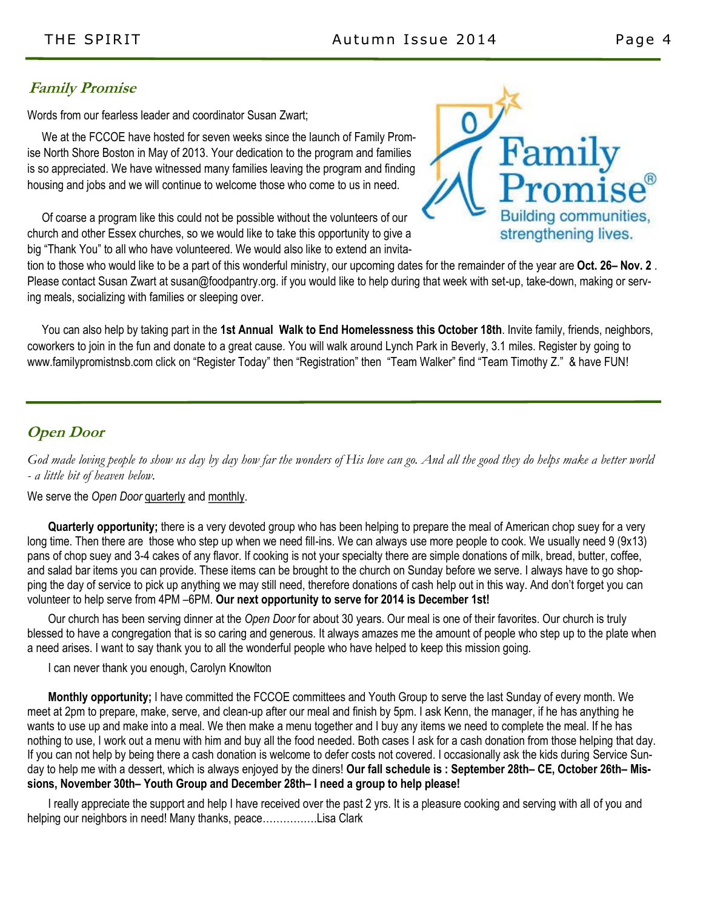### **Family Promise**

Words from our fearless leader and coordinator Susan Zwart;

 We at the FCCOE have hosted for seven weeks since the launch of Family Promise North Shore Boston in May of 2013. Your dedication to the program and families is so appreciated. We have witnessed many families leaving the program and finding housing and jobs and we will continue to welcome those who come to us in need.

 Of coarse a program like this could not be possible without the volunteers of our church and other Essex churches, so we would like to take this opportunity to give a big "Thank You" to all who have volunteered. We would also like to extend an invita-



tion to those who would like to be a part of this wonderful ministry, our upcoming dates for the remainder of the year are **Oct. 26– Nov. 2** . Please contact Susan Zwart at susan@foodpantry.org. if you would like to help during that week with set-up, take-down, making or serving meals, socializing with families or sleeping over.

 You can also help by taking part in the **1st Annual Walk to End Homelessness this October 18th**. Invite family, friends, neighbors, coworkers to join in the fun and donate to a great cause. You will walk around Lynch Park in Beverly, 3.1 miles. Register by going to www.familypromistnsb.com click on "Register Today" then "Registration" then "Team Walker" find "Team Timothy Z." & have FUN!

### **Open Door**

*God made loving people to show us day by day how far the wonders of His love can go. And all the good they do helps make a better world - a little bit of heaven below.*

### We serve the *Open Door* quarterly and monthly.

**Quarterly opportunity;** there is a very devoted group who has been helping to prepare the meal of American chop suey for a very long time. Then there are those who step up when we need fill-ins. We can always use more people to cook. We usually need 9 (9x13) pans of chop suey and 3-4 cakes of any flavor. If cooking is not your specialty there are simple donations of milk, bread, butter, coffee, and salad bar items you can provide. These items can be brought to the church on Sunday before we serve. I always have to go shopping the day of service to pick up anything we may still need, therefore donations of cash help out in this way. And don't forget you can volunteer to help serve from 4PM –6PM. **Our next opportunity to serve for 2014 is December 1st!**

Our church has been serving dinner at the *Open Door* for about 30 years. Our meal is one of their favorites. Our church is truly blessed to have a congregation that is so caring and generous. It always amazes me the amount of people who step up to the plate when a need arises. I want to say thank you to all the wonderful people who have helped to keep this mission going.

I can never thank you enough, Carolyn Knowlton

**Monthly opportunity;** I have committed the FCCOE committees and Youth Group to serve the last Sunday of every month. We meet at 2pm to prepare, make, serve, and clean-up after our meal and finish by 5pm. I ask Kenn, the manager, if he has anything he wants to use up and make into a meal. We then make a menu together and I buy any items we need to complete the meal. If he has nothing to use, I work out a menu with him and buy all the food needed. Both cases I ask for a cash donation from those helping that day. If you can not help by being there a cash donation is welcome to defer costs not covered. I occasionally ask the kids during Service Sunday to help me with a dessert, which is always enjoyed by the diners! **Our fall schedule is : September 28th– CE, October 26th– Missions, November 30th– Youth Group and December 28th– I need a group to help please!**

I really appreciate the support and help I have received over the past 2 yrs. It is a pleasure cooking and serving with all of you and helping our neighbors in need! Many thanks, peace…………….Lisa Clark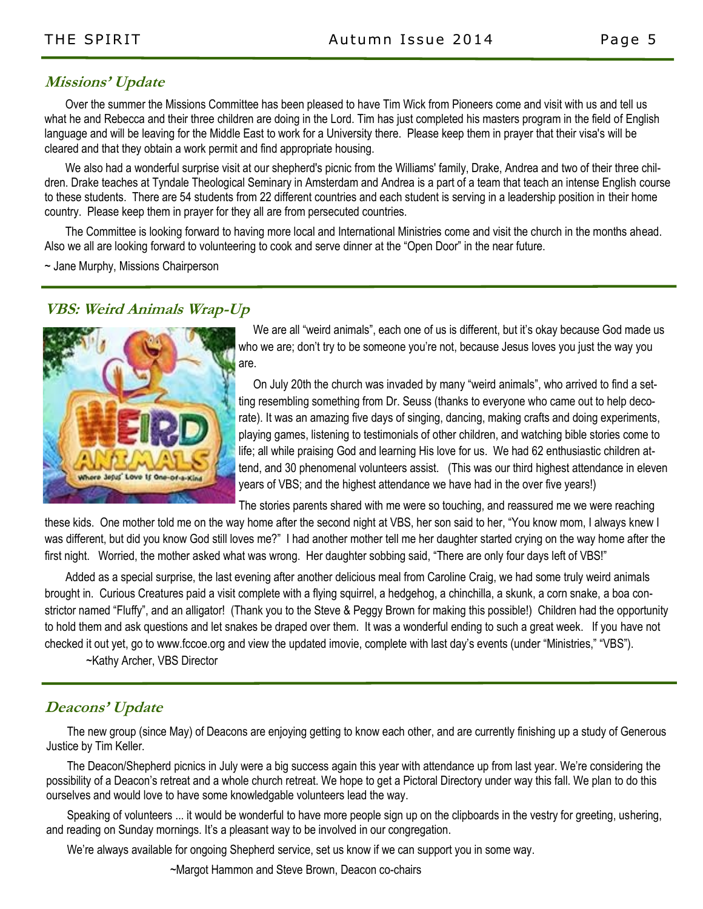### **Missions' Update**

Over the summer the Missions Committee has been pleased to have Tim Wick from Pioneers come and visit with us and tell us what he and Rebecca and their three children are doing in the Lord. Tim has just completed his masters program in the field of English language and will be leaving for the Middle East to work for a University there. Please keep them in prayer that their visa's will be cleared and that they obtain a work permit and find appropriate housing.

We also had a wonderful surprise visit at our shepherd's picnic from the Williams' family, Drake, Andrea and two of their three children. Drake teaches at Tyndale Theological Seminary in Amsterdam and Andrea is a part of a team that teach an intense English course to these students. There are 54 students from 22 different countries and each student is serving in a leadership position in their home country. Please keep them in prayer for they all are from persecuted countries.

The Committee is looking forward to having more local and International Ministries come and visit the church in the months ahead. Also we all are looking forward to volunteering to cook and serve dinner at the "Open Door" in the near future.

~ Jane Murphy, Missions Chairperson

### **VBS: Weird Animals Wrap-Up**



 We are all "weird animals", each one of us is different, but it's okay because God made us who we are; don't try to be someone you're not, because Jesus loves you just the way you are.

 On July 20th the church was invaded by many "weird animals", who arrived to find a setting resembling something from Dr. Seuss (thanks to everyone who came out to help decorate). It was an amazing five days of singing, dancing, making crafts and doing experiments, playing games, listening to testimonials of other children, and watching bible stories come to life; all while praising God and learning His love for us. We had 62 enthusiastic children attend, and 30 phenomenal volunteers assist. (This was our third highest attendance in eleven years of VBS; and the highest attendance we have had in the over five years!)

The stories parents shared with me were so touching, and reassured me we were reaching

these kids. One mother told me on the way home after the second night at VBS, her son said to her, "You know mom, I always knew I was different, but did you know God still loves me?" I had another mother tell me her daughter started crying on the way home after the first night. Worried, the mother asked what was wrong. Her daughter sobbing said, "There are only four days left of VBS!"

Added as a special surprise, the last evening after another delicious meal from Caroline Craig, we had some truly weird animals brought in. Curious Creatures paid a visit complete with a flying squirrel, a hedgehog, a chinchilla, a skunk, a corn snake, a boa constrictor named "Fluffy", and an alligator! (Thank you to the Steve & Peggy Brown for making this possible!) Children had the opportunity to hold them and ask questions and let snakes be draped over them. It was a wonderful ending to such a great week. If you have not checked it out yet, go to www.fccoe.org and view the updated imovie, complete with last day's events (under "Ministries," "VBS").

~Kathy Archer, VBS Director

### **Deacons' Update**

The new group (since May) of Deacons are enjoying getting to know each other, and are currently finishing up a study of Generous Justice by Tim Keller.

The Deacon/Shepherd picnics in July were a big success again this year with attendance up from last year. We're considering the possibility of a Deacon's retreat and a whole church retreat. We hope to get a Pictoral Directory under way this fall. We plan to do this ourselves and would love to have some knowledgable volunteers lead the way.

Speaking of volunteers ... it would be wonderful to have more people sign up on the clipboards in the vestry for greeting, ushering, and reading on Sunday mornings. It's a pleasant way to be involved in our congregation.

We're always available for ongoing Shepherd service, set us know if we can support you in some way.

~Margot Hammon and Steve Brown, Deacon co-chairs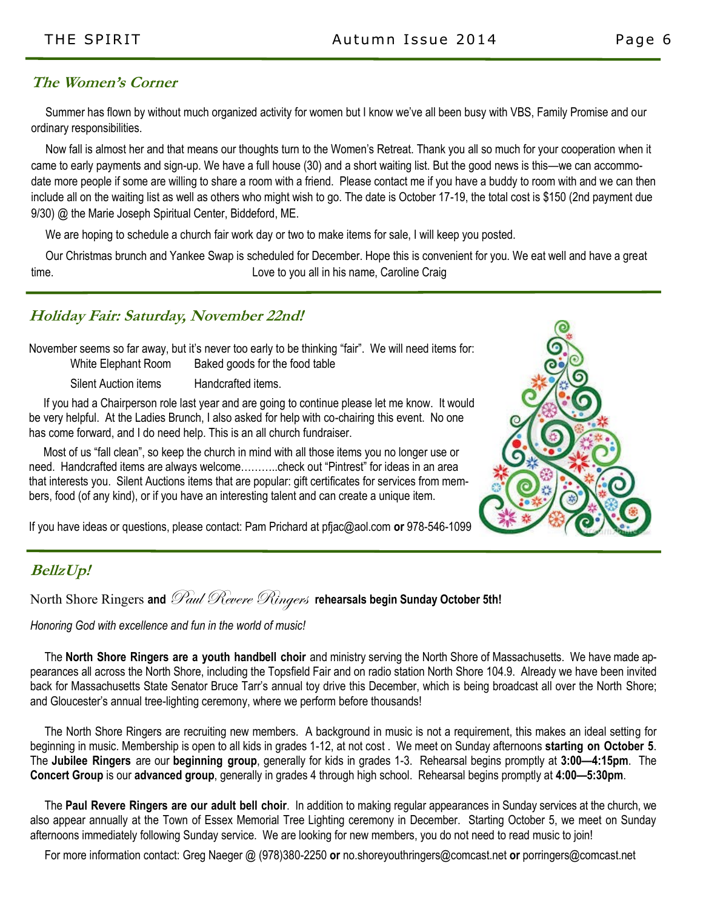### **The Women's Corner**

 Summer has flown by without much organized activity for women but I know we've all been busy with VBS, Family Promise and our ordinary responsibilities.

 Now fall is almost her and that means our thoughts turn to the Women's Retreat. Thank you all so much for your cooperation when it came to early payments and sign-up. We have a full house (30) and a short waiting list. But the good news is this—we can accommodate more people if some are willing to share a room with a friend. Please contact me if you have a buddy to room with and we can then include all on the waiting list as well as others who might wish to go. The date is October 17-19, the total cost is \$150 (2nd payment due 9/30) @ the Marie Joseph Spiritual Center, Biddeford, ME.

We are hoping to schedule a church fair work day or two to make items for sale, I will keep you posted.

 Our Christmas brunch and Yankee Swap is scheduled for December. Hope this is convenient for you. We eat well and have a great time. Love to you all in his name, Caroline Craig

### **Holiday Fair: Saturday, November 22nd!**

November seems so far away, but it's never too early to be thinking "fair". We will need items for: White Elephant Room Baked goods for the food table

Silent Auction items Handcrafted items.

 If you had a Chairperson role last year and are going to continue please let me know. It would be very helpful. At the Ladies Brunch, I also asked for help with co-chairing this event. No one has come forward, and I do need help. This is an all church fundraiser.

 Most of us "fall clean", so keep the church in mind with all those items you no longer use or need. Handcrafted items are always welcome………..check out "Pintrest" for ideas in an area that interests you. Silent Auctions items that are popular: gift certificates for services from members, food (of any kind), or if you have an interesting talent and can create a unique item.

If you have ideas or questions, please contact: Pam Prichard at pfjac@aol.com **or** 978-546-1099

### **BellzUp!**

North Shore Ringers and *Paul Revere Ringers* rehearsals begin Sunday October 5th!

*Honoring God with excellence and fun in the world of music!*

 The **North Shore Ringers are a youth handbell choir** and ministry serving the North Shore of Massachusetts. We have made appearances all across the North Shore, including the Topsfield Fair and on radio station North Shore 104.9. Already we have been invited back for Massachusetts State Senator Bruce Tarr's annual toy drive this December, which is being broadcast all over the North Shore; and Gloucester's annual tree-lighting ceremony, where we perform before thousands!

 The North Shore Ringers are recruiting new members. A background in music is not a requirement, this makes an ideal setting for beginning in music. Membership is open to all kids in grades 1-12, at not cost . We meet on Sunday afternoons **starting on October 5**. The **Jubilee Ringers** are our **beginning group**, generally for kids in grades 1-3. Rehearsal begins promptly at **3:00—4:15pm**. The **Concert Group** is our **advanced group**, generally in grades 4 through high school. Rehearsal begins promptly at **4:00—5:30pm**.

 The **Paul Revere Ringers are our adult bell choir**. In addition to making regular appearances in Sunday services at the church, we also appear annually at the Town of Essex Memorial Tree Lighting ceremony in December. Starting October 5, we meet on Sunday afternoons immediately following Sunday service. We are looking for new members, you do not need to read music to join!

For more information contact: Greg Naeger @ (978)380-2250 **or** no.shoreyouthringers@comcast.net **or** porringers@comcast.net

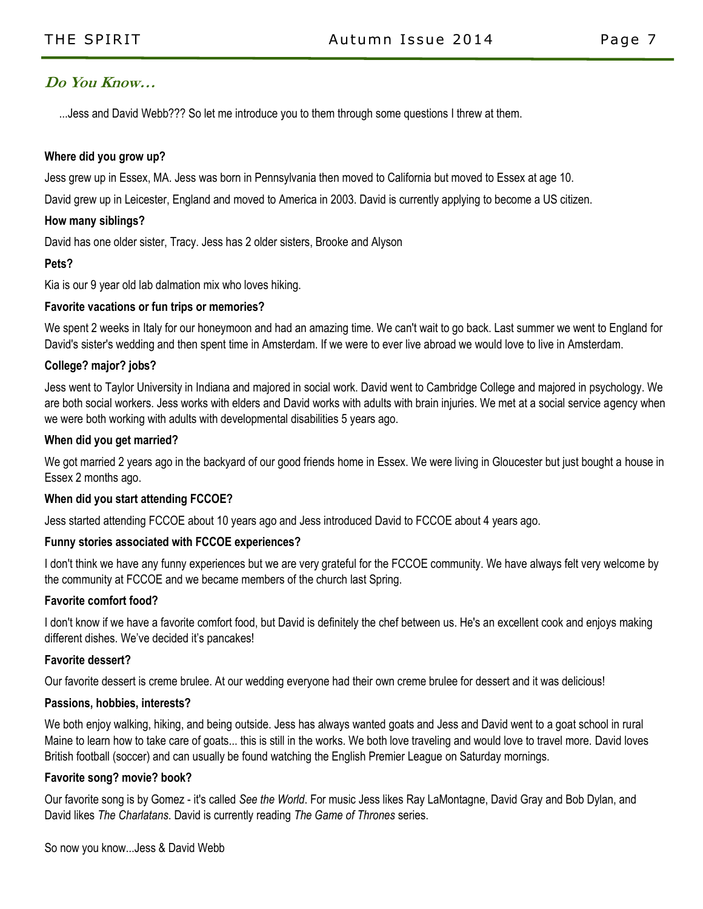### **Do You Know…**

...Jess and David Webb??? So let me introduce you to them through some questions I threw at them.

### **Where did you grow up?**

Jess grew up in Essex, MA. Jess was born in Pennsylvania then moved to California but moved to Essex at age 10.

David grew up in Leicester, England and moved to America in 2003. David is currently applying to become a US citizen.

### **How many siblings?**

David has one older sister, Tracy. Jess has 2 older sisters, Brooke and Alyson

### **Pets?**

Kia is our 9 year old lab dalmation mix who loves hiking.

### **Favorite vacations or fun trips or memories?**

We spent 2 weeks in Italy for our honeymoon and had an amazing time. We can't wait to go back. Last summer we went to England for David's sister's wedding and then spent time in Amsterdam. If we were to ever live abroad we would love to live in Amsterdam.

### **College? major? jobs?**

Jess went to Taylor University in Indiana and majored in social work. David went to Cambridge College and majored in psychology. We are both social workers. Jess works with elders and David works with adults with brain injuries. We met at a social service agency when we were both working with adults with developmental disabilities 5 years ago.

### **When did you get married?**

We got married 2 years ago in the backyard of our good friends home in Essex. We were living in Gloucester but just bought a house in Essex 2 months ago.

### **When did you start attending FCCOE?**

Jess started attending FCCOE about 10 years ago and Jess introduced David to FCCOE about 4 years ago.

#### **Funny stories associated with FCCOE experiences?**

I don't think we have any funny experiences but we are very grateful for the FCCOE community. We have always felt very welcome by the community at FCCOE and we became members of the church last Spring.

#### **Favorite comfort food?**

I don't know if we have a favorite comfort food, but David is definitely the chef between us. He's an excellent cook and enjoys making different dishes. We've decided it's pancakes!

#### **Favorite dessert?**

Our favorite dessert is creme brulee. At our wedding everyone had their own creme brulee for dessert and it was delicious!

#### **Passions, hobbies, interests?**

We both enjoy walking, hiking, and being outside. Jess has always wanted goats and Jess and David went to a goat school in rural Maine to learn how to take care of goats... this is still in the works. We both love traveling and would love to travel more. David loves British football (soccer) and can usually be found watching the English Premier League on Saturday mornings.

#### **Favorite song? movie? book?**

Our favorite song is by Gomez - it's called *See the World*. For music Jess likes Ray LaMontagne, David Gray and Bob Dylan, and David likes *The Charlatans*. David is currently reading *The Game of Thrones* series.

So now you know...Jess & David Webb